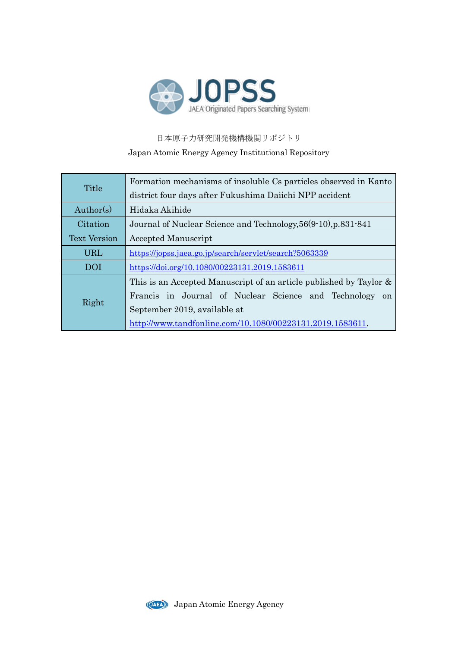

日本原子力研究開発機構機関リポジトリ Japan Atomic Energy Agency Institutional Repository

|                     | Formation mechanisms of insoluble Cs particles observed in Kanto      |  |  |  |
|---------------------|-----------------------------------------------------------------------|--|--|--|
| Title               | district four days after Fukushima Daiichi NPP accident               |  |  |  |
| Author(s)           | Hidaka Akihide                                                        |  |  |  |
| Citation            | Journal of Nuclear Science and Technology, 56(9-10), p.831-841        |  |  |  |
| <b>Text Version</b> | <b>Accepted Manuscript</b>                                            |  |  |  |
| <b>URL</b>          | https://jopss.jaea.go.jp/search/servlet/search?5063339                |  |  |  |
| DOI                 | https://doi.org/10.1080/00223131.2019.1583611                         |  |  |  |
|                     | This is an Accepted Manuscript of an article published by Taylor $\&$ |  |  |  |
|                     | Francis in Journal of Nuclear Science and Technology<br>on            |  |  |  |
| Right               | September 2019, available at                                          |  |  |  |
|                     | http://www.tandfonline.com/10.1080/00223131.2019.1583611.             |  |  |  |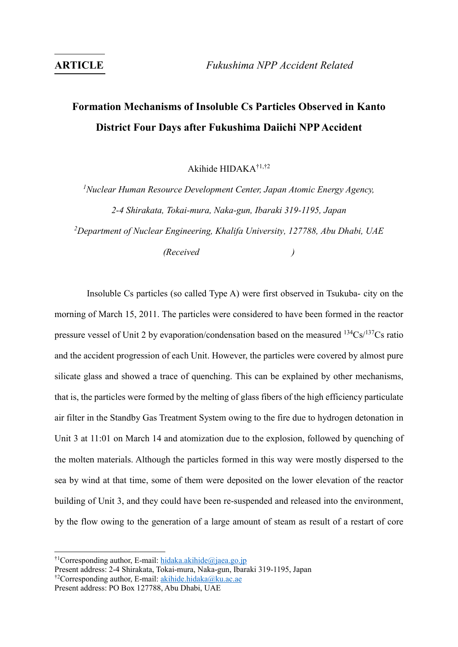# **Formation Mechanisms of Insoluble Cs Particles Observed in Kanto District Four Days after Fukushima Daiichi NPP Accident**

Akihide HIDAKA†1,†2

*<sup>1</sup>Nuclear Human Resource Development Center, Japan Atomic Energy Agency, 2-4 Shirakata, Tokai-mura, Naka-gun, Ibaraki 319-1195, Japan <sup>2</sup>Department of Nuclear Engineering, Khalifa University, 127788, Abu Dhabi, UAE (Received )*

Insoluble Cs particles (so called Type A) were first observed in Tsukuba- city on the morning of March 15, 2011. The particles were considered to have been formed in the reactor pressure vessel of Unit 2 by evaporation/condensation based on the measured  $^{134}Cs^{137}Cs$  ratio and the accident progression of each Unit. However, the particles were covered by almost pure silicate glass and showed a trace of quenching. This can be explained by other mechanisms, that is, the particles were formed by the melting of glass fibers of the high efficiency particulate air filter in the Standby Gas Treatment System owing to the fire due to hydrogen detonation in Unit 3 at 11:01 on March 14 and atomization due to the explosion, followed by quenching of the molten materials. Although the particles formed in this way were mostly dispersed to the sea by wind at that time, some of them were deposited on the lower elevation of the reactor building of Unit 3, and they could have been re-suspended and released into the environment, by the flow owing to the generation of a large amount of steam as result of a restart of core

 $\overline{a}$ 

<sup>&</sup>lt;sup>†1</sup>Corresponding author, E-mail[: hidaka.akihide@jaea.go.jp](mailto:hidaka.akihide@jaea.go.jp)

Present address: 2-4 Shirakata, Tokai-mura, Naka-gun, Ibaraki 319-1195, Japan †2Corresponding author, E-mail[: akihide.hidaka@ku.ac.ae](mailto:akihide.hidaka@ku.ac.ae)

Present address: PO Box 127788, Abu Dhabi, UAE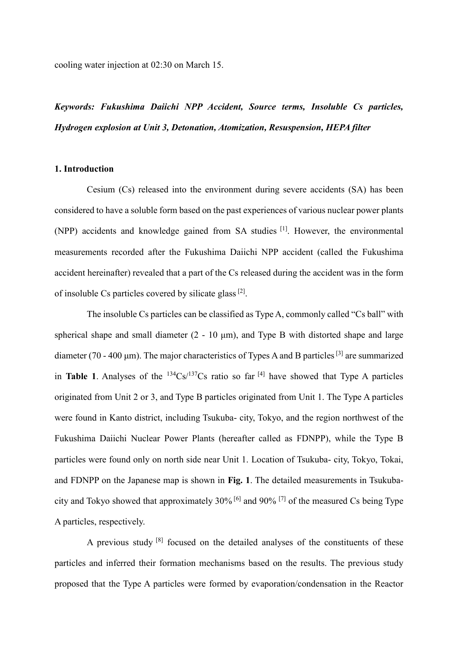cooling water injection at 02:30 on March 15.

*Keywords: Fukushima Daiichi NPP Accident, Source terms, Insoluble Cs particles, Hydrogen explosion at Unit 3, Detonation, Atomization, Resuspension, HEPA filter*

### **1. Introduction**

Cesium (Cs) released into the environment during severe accidents (SA) has been considered to have a soluble form based on the past experiences of various nuclear power plants (NPP) accidents and knowledge gained from SA studies [1]. However, the environmental measurements recorded after the Fukushima Daiichi NPP accident (called the Fukushima accident hereinafter) revealed that a part of the Cs released during the accident was in the form of insoluble Cs particles covered by silicate glass [2].

The insoluble Cs particles can be classified as Type A, commonly called "Cs ball" with spherical shape and small diameter  $(2 - 10 \mu m)$ , and Type B with distorted shape and large diameter (70 - 400 µm). The major characteristics of Types A and B particles<sup>[3]</sup> are summarized in **Table 1**. Analyses of the  $134Cs/137Cs$  ratio so far  $[4]$  have showed that Type A particles originated from Unit 2 or 3, and Type B particles originated from Unit 1. The Type A particles were found in Kanto district, including Tsukuba- city, Tokyo, and the region northwest of the Fukushima Daiichi Nuclear Power Plants (hereafter called as FDNPP), while the Type B particles were found only on north side near Unit 1. Location of Tsukuba- city, Tokyo, Tokai, and FDNPP on the Japanese map is shown in **Fig. 1**. The detailed measurements in Tsukubacity and Tokyo showed that approximately 30% [6] and 90% [7] of the measured Cs being Type A particles, respectively.

A previous study [8] focused on the detailed analyses of the constituents of these particles and inferred their formation mechanisms based on the results. The previous study proposed that the Type A particles were formed by evaporation/condensation in the Reactor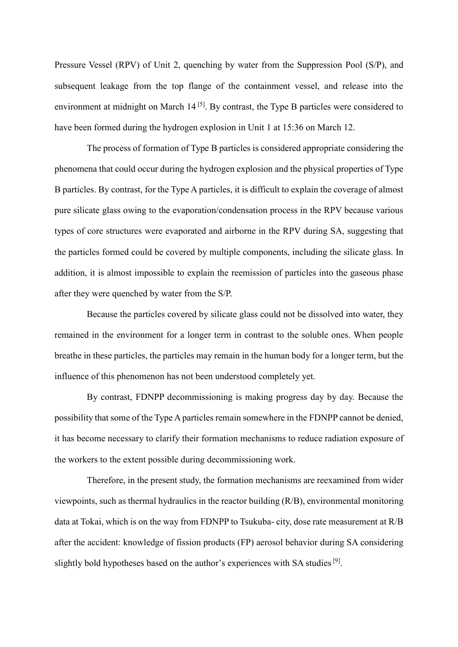Pressure Vessel (RPV) of Unit 2, quenching by water from the Suppression Pool (S/P), and subsequent leakage from the top flange of the containment vessel, and release into the environment at midnight on March  $14^{5}$ . By contrast, the Type B particles were considered to have been formed during the hydrogen explosion in Unit 1 at 15:36 on March 12.

The process of formation of Type B particles is considered appropriate considering the phenomena that could occur during the hydrogen explosion and the physical properties of Type B particles. By contrast, for the Type A particles, it is difficult to explain the coverage of almost pure silicate glass owing to the evaporation/condensation process in the RPV because various types of core structures were evaporated and airborne in the RPV during SA, suggesting that the particles formed could be covered by multiple components, including the silicate glass. In addition, it is almost impossible to explain the reemission of particles into the gaseous phase after they were quenched by water from the S/P.

Because the particles covered by silicate glass could not be dissolved into water, they remained in the environment for a longer term in contrast to the soluble ones. When people breathe in these particles, the particles may remain in the human body for a longer term, but the influence of this phenomenon has not been understood completely yet.

By contrast, FDNPP decommissioning is making progress day by day. Because the possibility that some of the Type A particles remain somewhere in the FDNPP cannot be denied, it has become necessary to clarify their formation mechanisms to reduce radiation exposure of the workers to the extent possible during decommissioning work.

Therefore, in the present study, the formation mechanisms are reexamined from wider viewpoints, such as thermal hydraulics in the reactor building (R/B), environmental monitoring data at Tokai, which is on the way from FDNPP to Tsukuba- city, dose rate measurement at R/B after the accident: knowledge of fission products (FP) aerosol behavior during SA considering slightly bold hypotheses based on the author's experiences with SA studies<sup>[9]</sup>.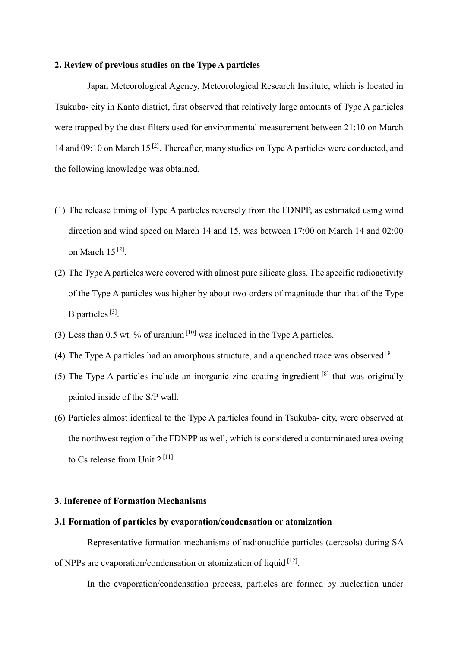#### **2. Review of previous studies on the Type A particles**

Japan Meteorological Agency, Meteorological Research Institute, which is located in Tsukuba- city in Kanto district, first observed that relatively large amounts of Type A particles were trapped by the dust filters used for environmental measurement between 21:10 on March 14 and 09:10 on March 15<sup>[2]</sup>. Thereafter, many studies on Type A particles were conducted, and the following knowledge was obtained.

- (1) The release timing of Type A particles reversely from the FDNPP, as estimated using wind direction and wind speed on March 14 and 15, was between 17:00 on March 14 and 02:00 on March 15 [2] .
- (2) The Type A particles were covered with almost pure silicate glass. The specific radioactivity of the Type A particles was higher by about two orders of magnitude than that of the Type B particles<sup>[3]</sup>.
- (3) Less than 0.5 wt. % of uranium  $[10]$  was included in the Type A particles.
- (4) The Type A particles had an amorphous structure, and a quenched trace was observed  $^{[8]}$ .
- (5) The Type A particles include an inorganic zinc coating ingredient  $[8]$  that was originally painted inside of the S/P wall.
- (6) Particles almost identical to the Type A particles found in Tsukuba- city, were observed at the northwest region of the FDNPP as well, which is considered a contaminated area owing to Cs release from Unit  $2^{[11]}$ .

## **3. Inference of Formation Mechanisms**

#### **3.1 Formation of particles by evaporation/condensation or atomization**

Representative formation mechanisms of radionuclide particles (aerosols) during SA of NPPs are evaporation/condensation or atomization of liquid [12].

In the evaporation/condensation process, particles are formed by nucleation under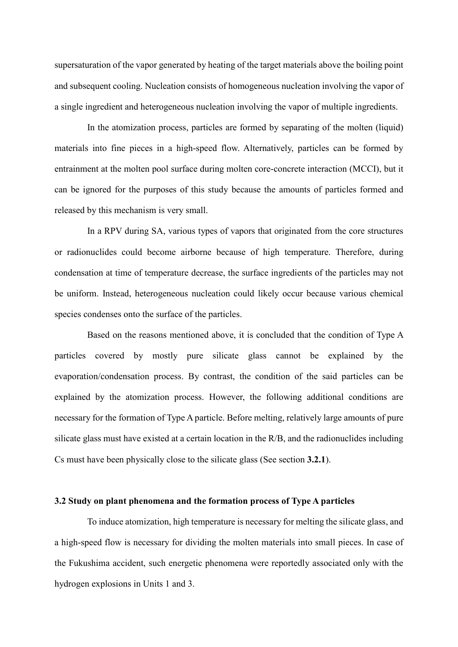supersaturation of the vapor generated by heating of the target materials above the boiling point and subsequent cooling. Nucleation consists of homogeneous nucleation involving the vapor of a single ingredient and heterogeneous nucleation involving the vapor of multiple ingredients.

In the atomization process, particles are formed by separating of the molten (liquid) materials into fine pieces in a high-speed flow. Alternatively, particles can be formed by entrainment at the molten pool surface during molten core-concrete interaction (MCCI), but it can be ignored for the purposes of this study because the amounts of particles formed and released by this mechanism is very small.

In a RPV during SA, various types of vapors that originated from the core structures or radionuclides could become airborne because of high temperature. Therefore, during condensation at time of temperature decrease, the surface ingredients of the particles may not be uniform. Instead, heterogeneous nucleation could likely occur because various chemical species condenses onto the surface of the particles.

Based on the reasons mentioned above, it is concluded that the condition of Type A particles covered by mostly pure silicate glass cannot be explained by the evaporation/condensation process. By contrast, the condition of the said particles can be explained by the atomization process. However, the following additional conditions are necessary for the formation of Type A particle. Before melting, relatively large amounts of pure silicate glass must have existed at a certain location in the R/B, and the radionuclides including Cs must have been physically close to the silicate glass (See section **3.2.1**).

#### **3.2 Study on plant phenomena and the formation process of Type A particles**

To induce atomization, high temperature is necessary for melting the silicate glass, and a high-speed flow is necessary for dividing the molten materials into small pieces. In case of the Fukushima accident, such energetic phenomena were reportedly associated only with the hydrogen explosions in Units 1 and 3.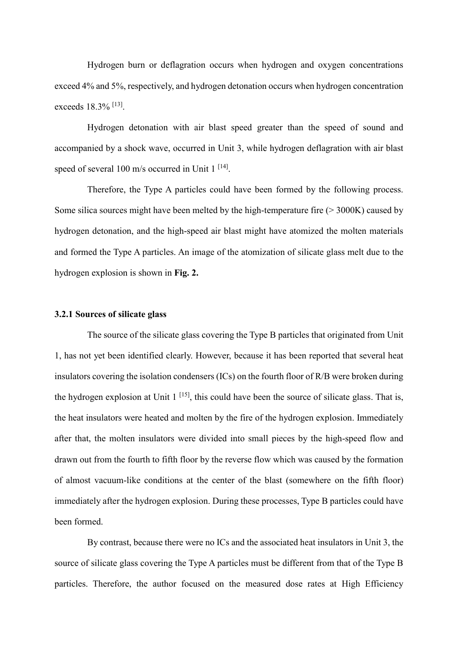Hydrogen burn or deflagration occurs when hydrogen and oxygen concentrations exceed 4% and 5%, respectively, and hydrogen detonation occurs when hydrogen concentration exceeds 18.3% <sup>[13]</sup>.

Hydrogen detonation with air blast speed greater than the speed of sound and accompanied by a shock wave, occurred in Unit 3, while hydrogen deflagration with air blast speed of several 100 m/s occurred in Unit 1<sup>[14]</sup>.

Therefore, the Type A particles could have been formed by the following process. Some silica sources might have been melted by the high-temperature fire  $(> 3000K)$  caused by hydrogen detonation, and the high-speed air blast might have atomized the molten materials and formed the Type A particles. An image of the atomization of silicate glass melt due to the hydrogen explosion is shown in **Fig. 2.**

#### **3.2.1 Sources of silicate glass**

The source of the silicate glass covering the Type B particles that originated from Unit 1, has not yet been identified clearly. However, because it has been reported that several heat insulators covering the isolation condensers (ICs) on the fourth floor of R/B were broken during the hydrogen explosion at Unit  $1^{[15]}$ , this could have been the source of silicate glass. That is, the heat insulators were heated and molten by the fire of the hydrogen explosion. Immediately after that, the molten insulators were divided into small pieces by the high-speed flow and drawn out from the fourth to fifth floor by the reverse flow which was caused by the formation of almost vacuum-like conditions at the center of the blast (somewhere on the fifth floor) immediately after the hydrogen explosion. During these processes, Type B particles could have been formed.

By contrast, because there were no ICs and the associated heat insulators in Unit 3, the source of silicate glass covering the Type A particles must be different from that of the Type B particles. Therefore, the author focused on the measured dose rates at High Efficiency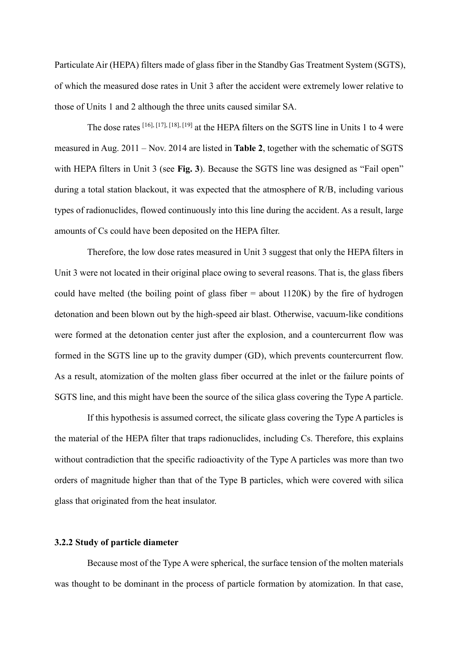Particulate Air (HEPA) filters made of glass fiber in the Standby Gas Treatment System (SGTS), of which the measured dose rates in Unit 3 after the accident were extremely lower relative to those of Units 1 and 2 although the three units caused similar SA.

The dose rates  $[16]$ ,  $[17]$ ,  $[18]$ ,  $[19]$  at the HEPA filters on the SGTS line in Units 1 to 4 were measured in Aug. 2011 – Nov. 2014 are listed in **Table 2**, together with the schematic of SGTS with HEPA filters in Unit 3 (see **Fig. 3**). Because the SGTS line was designed as "Fail open" during a total station blackout, it was expected that the atmosphere of R/B, including various types of radionuclides, flowed continuously into this line during the accident. As a result, large amounts of Cs could have been deposited on the HEPA filter.

Therefore, the low dose rates measured in Unit 3 suggest that only the HEPA filters in Unit 3 were not located in their original place owing to several reasons. That is, the glass fibers could have melted (the boiling point of glass fiber  $=$  about 1120K) by the fire of hydrogen detonation and been blown out by the high-speed air blast. Otherwise, vacuum-like conditions were formed at the detonation center just after the explosion, and a countercurrent flow was formed in the SGTS line up to the gravity dumper (GD), which prevents countercurrent flow. As a result, atomization of the molten glass fiber occurred at the inlet or the failure points of SGTS line, and this might have been the source of the silica glass covering the Type A particle.

If this hypothesis is assumed correct, the silicate glass covering the Type A particles is the material of the HEPA filter that traps radionuclides, including Cs. Therefore, this explains without contradiction that the specific radioactivity of the Type A particles was more than two orders of magnitude higher than that of the Type B particles, which were covered with silica glass that originated from the heat insulator.

### **3.2.2 Study of particle diameter**

Because most of the Type A were spherical, the surface tension of the molten materials was thought to be dominant in the process of particle formation by atomization. In that case,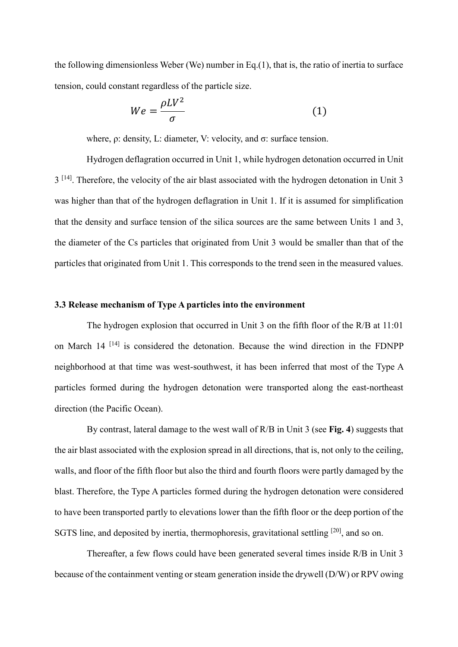the following dimensionless Weber (We) number in Eq.(1), that is, the ratio of inertia to surface tension, could constant regardless of the particle size.

$$
We = \frac{\rho L V^2}{\sigma} \tag{1}
$$

where, ρ: density, L: diameter, V: velocity, and σ: surface tension.

Hydrogen deflagration occurred in Unit 1, while hydrogen detonation occurred in Unit  $3<sup>[14]</sup>$ . Therefore, the velocity of the air blast associated with the hydrogen detonation in Unit 3 was higher than that of the hydrogen deflagration in Unit 1. If it is assumed for simplification that the density and surface tension of the silica sources are the same between Units 1 and 3, the diameter of the Cs particles that originated from Unit 3 would be smaller than that of the particles that originated from Unit 1. This corresponds to the trend seen in the measured values.

#### **3.3 Release mechanism of Type A particles into the environment**

The hydrogen explosion that occurred in Unit 3 on the fifth floor of the R/B at 11:01 on March 14<sup>[14]</sup> is considered the detonation. Because the wind direction in the FDNPP neighborhood at that time was west-southwest, it has been inferred that most of the Type A particles formed during the hydrogen detonation were transported along the east-northeast direction (the Pacific Ocean).

By contrast, lateral damage to the west wall of R/B in Unit 3 (see **Fig. 4**) suggests that the air blast associated with the explosion spread in all directions, that is, not only to the ceiling, walls, and floor of the fifth floor but also the third and fourth floors were partly damaged by the blast. Therefore, the Type A particles formed during the hydrogen detonation were considered to have been transported partly to elevations lower than the fifth floor or the deep portion of the SGTS line, and deposited by inertia, thermophoresis, gravitational settling <sup>[20]</sup>, and so on.

Thereafter, a few flows could have been generated several times inside R/B in Unit 3 because of the containment venting or steam generation inside the drywell (D/W) or RPV owing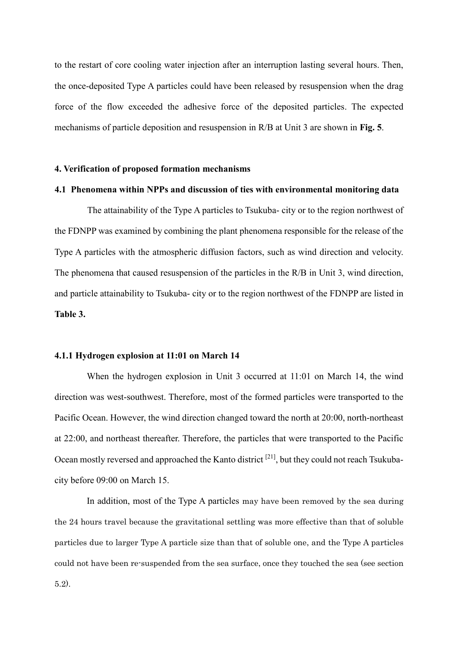to the restart of core cooling water injection after an interruption lasting several hours. Then, the once-deposited Type A particles could have been released by resuspension when the drag force of the flow exceeded the adhesive force of the deposited particles. The expected mechanisms of particle deposition and resuspension in R/B at Unit 3 are shown in **Fig. 5**.

#### **4. Verification of proposed formation mechanisms**

#### **4.1 Phenomena within NPPs and discussion of ties with environmental monitoring data**

The attainability of the Type A particles to Tsukuba- city or to the region northwest of the FDNPP was examined by combining the plant phenomena responsible for the release of the Type A particles with the atmospheric diffusion factors, such as wind direction and velocity. The phenomena that caused resuspension of the particles in the R/B in Unit 3, wind direction, and particle attainability to Tsukuba- city or to the region northwest of the FDNPP are listed in **Table 3.**

#### **4.1.1 Hydrogen explosion at 11:01 on March 14**

When the hydrogen explosion in Unit 3 occurred at 11:01 on March 14, the wind direction was west-southwest. Therefore, most of the formed particles were transported to the Pacific Ocean. However, the wind direction changed toward the north at 20:00, north-northeast at 22:00, and northeast thereafter. Therefore, the particles that were transported to the Pacific Ocean mostly reversed and approached the Kanto district <sup>[21]</sup>, but they could not reach Tsukubacity before 09:00 on March 15.

In addition, most of the Type A particles may have been removed by the sea during the 24 hours travel because the gravitational settling was more effective than that of soluble particles due to larger Type A particle size than that of soluble one, and the Type A particles could not have been re-suspended from the sea surface, once they touched the sea (see section 5.2).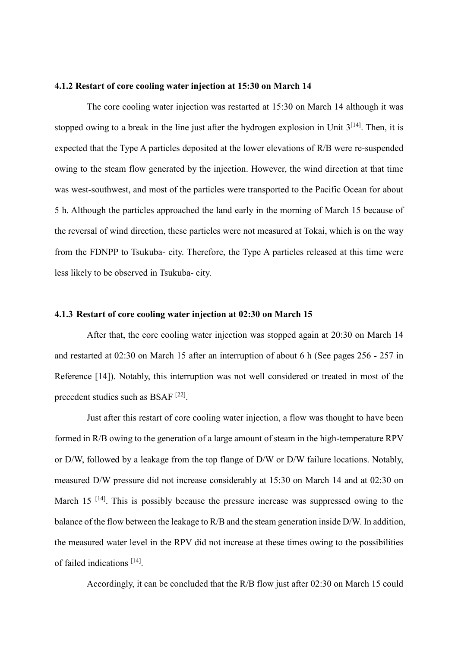#### **4.1.2 Restart of core cooling water injection at 15:30 on March 14**

The core cooling water injection was restarted at 15:30 on March 14 although it was stopped owing to a break in the line just after the hydrogen explosion in Unit  $3^{[14]}$ . Then, it is expected that the Type A particles deposited at the lower elevations of R/B were re-suspended owing to the steam flow generated by the injection. However, the wind direction at that time was west-southwest, and most of the particles were transported to the Pacific Ocean for about 5 h. Although the particles approached the land early in the morning of March 15 because of the reversal of wind direction, these particles were not measured at Tokai, which is on the way from the FDNPP to Tsukuba- city. Therefore, the Type A particles released at this time were less likely to be observed in Tsukuba- city.

#### **4.1.3 Restart of core cooling water injection at 02:30 on March 15**

After that, the core cooling water injection was stopped again at 20:30 on March 14 and restarted at 02:30 on March 15 after an interruption of about 6 h (See pages 256 - 257 in Reference [14]). Notably, this interruption was not well considered or treated in most of the precedent studies such as BSAF<sup>[22]</sup>.

Just after this restart of core cooling water injection, a flow was thought to have been formed in R/B owing to the generation of a large amount of steam in the high-temperature RPV or D/W, followed by a leakage from the top flange of D/W or D/W failure locations. Notably, measured D/W pressure did not increase considerably at 15:30 on March 14 and at 02:30 on March 15<sup>[14]</sup>. This is possibly because the pressure increase was suppressed owing to the balance of the flow between the leakage to R/B and the steam generation inside D/W. In addition, the measured water level in the RPV did not increase at these times owing to the possibilities of failed indications [14].

Accordingly, it can be concluded that the R/B flow just after 02:30 on March 15 could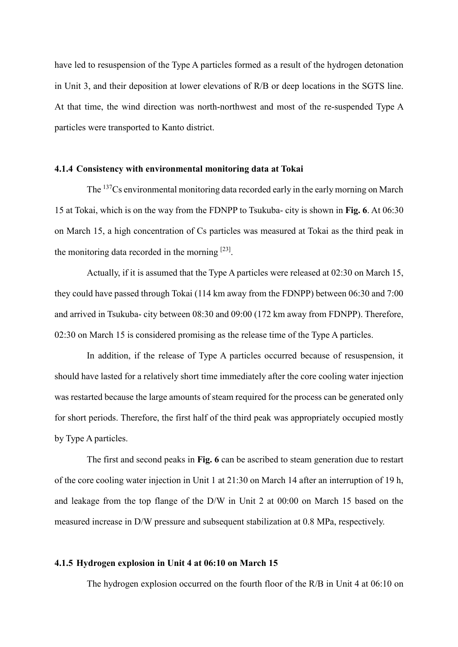have led to resuspension of the Type A particles formed as a result of the hydrogen detonation in Unit 3, and their deposition at lower elevations of R/B or deep locations in the SGTS line. At that time, the wind direction was north-northwest and most of the re-suspended Type A particles were transported to Kanto district.

#### **4.1.4 Consistency with environmental monitoring data at Tokai**

The <sup>137</sup>Cs environmental monitoring data recorded early in the early morning on March 15 at Tokai, which is on the way from the FDNPP to Tsukuba- city is shown in **Fig. 6**. At 06:30 on March 15, a high concentration of Cs particles was measured at Tokai as the third peak in the monitoring data recorded in the morning  $[23]$ .

Actually, if it is assumed that the Type A particles were released at 02:30 on March 15, they could have passed through Tokai (114 km away from the FDNPP) between 06:30 and 7:00 and arrived in Tsukuba- city between 08:30 and 09:00 (172 km away from FDNPP). Therefore, 02:30 on March 15 is considered promising as the release time of the Type A particles.

In addition, if the release of Type A particles occurred because of resuspension, it should have lasted for a relatively short time immediately after the core cooling water injection was restarted because the large amounts of steam required for the process can be generated only for short periods. Therefore, the first half of the third peak was appropriately occupied mostly by Type A particles.

The first and second peaks in **Fig. 6** can be ascribed to steam generation due to restart of the core cooling water injection in Unit 1 at 21:30 on March 14 after an interruption of 19 h, and leakage from the top flange of the D/W in Unit 2 at 00:00 on March 15 based on the measured increase in D/W pressure and subsequent stabilization at 0.8 MPa, respectively.

#### **4.1.5 Hydrogen explosion in Unit 4 at 06:10 on March 15**

The hydrogen explosion occurred on the fourth floor of the R/B in Unit 4 at 06:10 on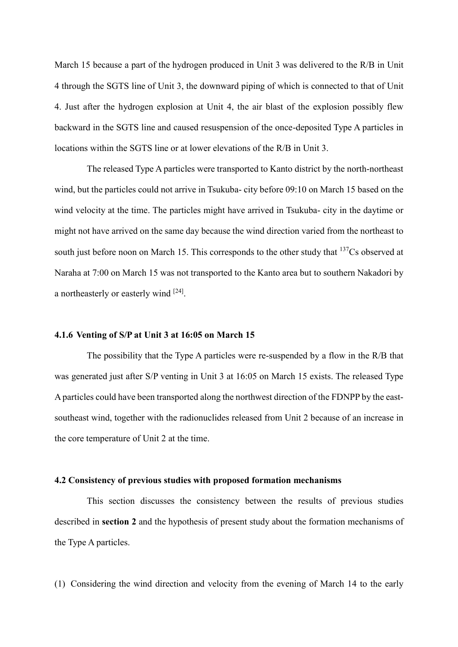March 15 because a part of the hydrogen produced in Unit 3 was delivered to the R/B in Unit 4 through the SGTS line of Unit 3, the downward piping of which is connected to that of Unit 4. Just after the hydrogen explosion at Unit 4, the air blast of the explosion possibly flew backward in the SGTS line and caused resuspension of the once-deposited Type A particles in locations within the SGTS line or at lower elevations of the R/B in Unit 3.

The released Type A particles were transported to Kanto district by the north-northeast wind, but the particles could not arrive in Tsukuba- city before 09:10 on March 15 based on the wind velocity at the time. The particles might have arrived in Tsukuba- city in the daytime or might not have arrived on the same day because the wind direction varied from the northeast to south just before noon on March 15. This corresponds to the other study that <sup>137</sup>Cs observed at Naraha at 7:00 on March 15 was not transported to the Kanto area but to southern Nakadori by a northeasterly or easterly wind <sup>[24]</sup>.

#### **4.1.6 Venting of S/P at Unit 3 at 16:05 on March 15**

The possibility that the Type A particles were re-suspended by a flow in the R/B that was generated just after S/P venting in Unit 3 at 16:05 on March 15 exists. The released Type A particles could have been transported along the northwest direction of the FDNPP by the eastsoutheast wind, together with the radionuclides released from Unit 2 because of an increase in the core temperature of Unit 2 at the time.

#### **4.2 Consistency of previous studies with proposed formation mechanisms**

This section discusses the consistency between the results of previous studies described in **section 2** and the hypothesis of present study about the formation mechanisms of the Type A particles.

(1) Considering the wind direction and velocity from the evening of March 14 to the early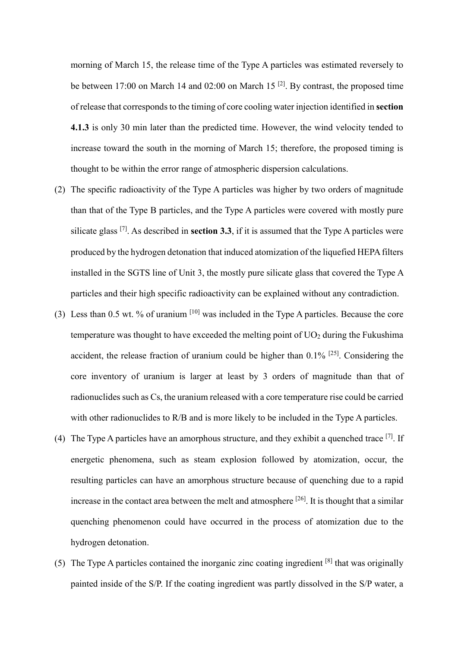morning of March 15, the release time of the Type A particles was estimated reversely to be between 17:00 on March 14 and 02:00 on March 15<sup>[2]</sup>. By contrast, the proposed time of release that corresponds to the timing of core cooling water injection identified in **section 4.1.3** is only 30 min later than the predicted time. However, the wind velocity tended to increase toward the south in the morning of March 15; therefore, the proposed timing is thought to be within the error range of atmospheric dispersion calculations.

- (2) The specific radioactivity of the Type A particles was higher by two orders of magnitude than that of the Type B particles, and the Type A particles were covered with mostly pure silicate glass [7]. As described in **section 3.3**, if it is assumed that the Type A particles were produced by the hydrogen detonation that induced atomization of the liquefied HEPA filters installed in the SGTS line of Unit 3, the mostly pure silicate glass that covered the Type A particles and their high specific radioactivity can be explained without any contradiction.
- (3) Less than 0.5 wt. % of uranium [10] was included in the Type A particles. Because the core temperature was thought to have exceeded the melting point of  $UO<sub>2</sub>$  during the Fukushima accident, the release fraction of uranium could be higher than  $0.1\%$  <sup>[25]</sup>. Considering the core inventory of uranium is larger at least by 3 orders of magnitude than that of radionuclides such as Cs, the uranium released with a core temperature rise could be carried with other radionuclides to  $R/B$  and is more likely to be included in the Type A particles.
- (4) The Type A particles have an amorphous structure, and they exhibit a quenched trace  $^{[7]}$ . If energetic phenomena, such as steam explosion followed by atomization, occur, the resulting particles can have an amorphous structure because of quenching due to a rapid increase in the contact area between the melt and atmosphere  $[26]$ . It is thought that a similar quenching phenomenon could have occurred in the process of atomization due to the hydrogen detonation.
- (5) The Type A particles contained the inorganic zinc coating ingredient  $[8]$  that was originally painted inside of the S/P. If the coating ingredient was partly dissolved in the S/P water, a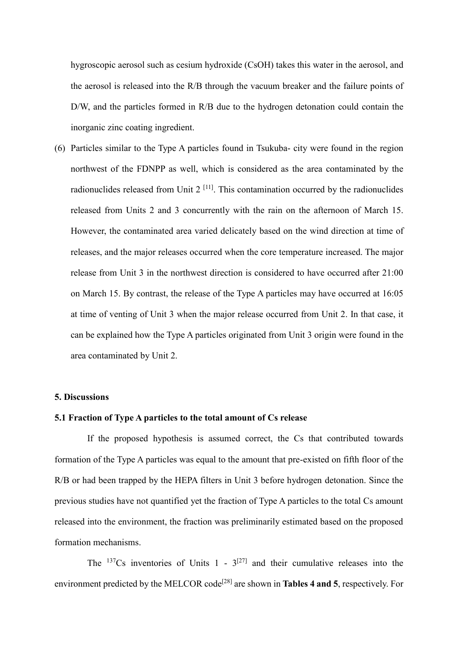hygroscopic aerosol such as cesium hydroxide (CsOH) takes this water in the aerosol, and the aerosol is released into the R/B through the vacuum breaker and the failure points of D/W, and the particles formed in R/B due to the hydrogen detonation could contain the inorganic zinc coating ingredient.

(6) Particles similar to the Type A particles found in Tsukuba- city were found in the region northwest of the FDNPP as well, which is considered as the area contaminated by the radionuclides released from Unit  $2^{[11]}$ . This contamination occurred by the radionuclides released from Units 2 and 3 concurrently with the rain on the afternoon of March 15. However, the contaminated area varied delicately based on the wind direction at time of releases, and the major releases occurred when the core temperature increased. The major release from Unit 3 in the northwest direction is considered to have occurred after 21:00 on March 15. By contrast, the release of the Type A particles may have occurred at 16:05 at time of venting of Unit 3 when the major release occurred from Unit 2. In that case, it can be explained how the Type A particles originated from Unit 3 origin were found in the area contaminated by Unit 2.

#### **5. Discussions**

#### **5.1 Fraction of Type A particles to the total amount of Cs release**

If the proposed hypothesis is assumed correct, the Cs that contributed towards formation of the Type A particles was equal to the amount that pre-existed on fifth floor of the R/B or had been trapped by the HEPA filters in Unit 3 before hydrogen detonation. Since the previous studies have not quantified yet the fraction of Type A particles to the total Cs amount released into the environment, the fraction was preliminarily estimated based on the proposed formation mechanisms.

The  $^{137}Cs$  inventories of Units 1 -  $3^{[27]}$  and their cumulative releases into the environment predicted by the MELCOR code<sup>[28]</sup> are shown in **Tables 4 and 5**, respectively. For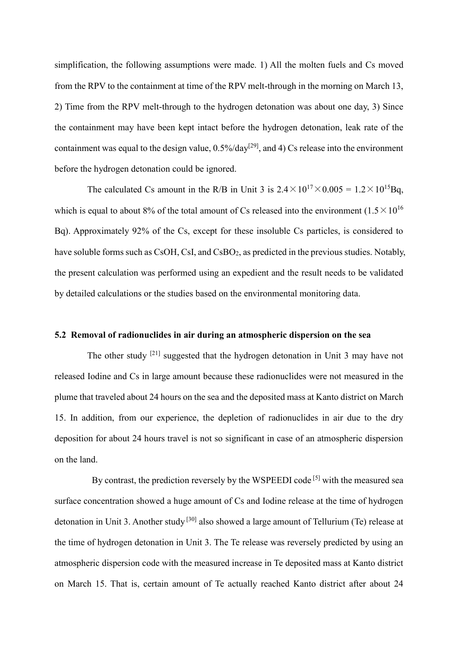simplification, the following assumptions were made. 1) All the molten fuels and Cs moved from the RPV to the containment at time of the RPV melt-through in the morning on March 13, 2) Time from the RPV melt-through to the hydrogen detonation was about one day, 3) Since the containment may have been kept intact before the hydrogen detonation, leak rate of the containment was equal to the design value,  $0.5\%$ /day<sup>[29]</sup>, and 4) Cs release into the environment before the hydrogen detonation could be ignored.

The calculated Cs amount in the R/B in Unit 3 is  $2.4 \times 10^{17} \times 0.005 = 1.2 \times 10^{15}$ Bq, which is equal to about 8% of the total amount of Cs released into the environment  $(1.5 \times 10^{16}$ Bq). Approximately 92% of the Cs, except for these insoluble Cs particles, is considered to have soluble forms such as CsOH, CsI, and CsBO<sub>2</sub>, as predicted in the previous studies. Notably, the present calculation was performed using an expedient and the result needs to be validated by detailed calculations or the studies based on the environmental monitoring data.

#### **5.2 Removal of radionuclides in air during an atmospheric dispersion on the sea**

The other study [21] suggested that the hydrogen detonation in Unit 3 may have not released Iodine and Cs in large amount because these radionuclides were not measured in the plume that traveled about 24 hours on the sea and the deposited mass at Kanto district on March 15. In addition, from our experience, the depletion of radionuclides in air due to the dry deposition for about 24 hours travel is not so significant in case of an atmospheric dispersion on the land.

By contrast, the prediction reversely by the WSPEEDI code<sup>[5]</sup> with the measured sea surface concentration showed a huge amount of Cs and Iodine release at the time of hydrogen detonation in Unit 3. Another study<sup>[30]</sup> also showed a large amount of Tellurium (Te) release at the time of hydrogen detonation in Unit 3. The Te release was reversely predicted by using an atmospheric dispersion code with the measured increase in Te deposited mass at Kanto district on March 15. That is, certain amount of Te actually reached Kanto district after about 24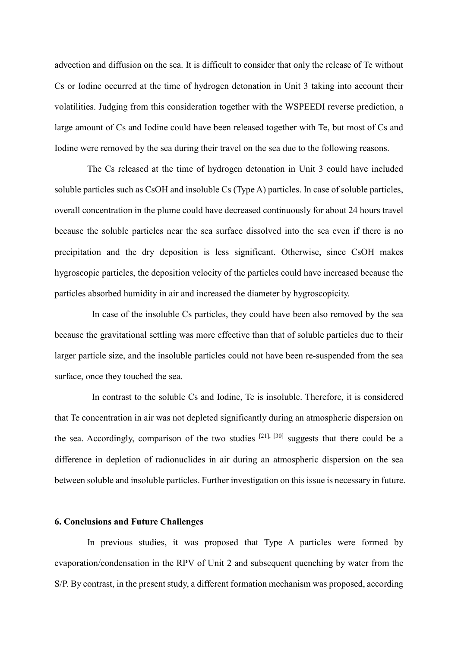advection and diffusion on the sea. It is difficult to consider that only the release of Te without Cs or Iodine occurred at the time of hydrogen detonation in Unit 3 taking into account their volatilities. Judging from this consideration together with the WSPEEDI reverse prediction, a large amount of Cs and Iodine could have been released together with Te, but most of Cs and Iodine were removed by the sea during their travel on the sea due to the following reasons.

The Cs released at the time of hydrogen detonation in Unit 3 could have included soluble particles such as CsOH and insoluble Cs (Type A) particles. In case of soluble particles, overall concentration in the plume could have decreased continuously for about 24 hours travel because the soluble particles near the sea surface dissolved into the sea even if there is no precipitation and the dry deposition is less significant. Otherwise, since CsOH makes hygroscopic particles, the deposition velocity of the particles could have increased because the particles absorbed humidity in air and increased the diameter by hygroscopicity.

In case of the insoluble Cs particles, they could have been also removed by the sea because the gravitational settling was more effective than that of soluble particles due to their larger particle size, and the insoluble particles could not have been re-suspended from the sea surface, once they touched the sea.

In contrast to the soluble Cs and Iodine, Te is insoluble. Therefore, it is considered that Te concentration in air was not depleted significantly during an atmospheric dispersion on the sea. Accordingly, comparison of the two studies  $[21]$ ,  $[30]$  suggests that there could be a difference in depletion of radionuclides in air during an atmospheric dispersion on the sea between soluble and insoluble particles. Further investigation on this issue is necessary in future.

## **6. Conclusions and Future Challenges**

In previous studies, it was proposed that Type A particles were formed by evaporation/condensation in the RPV of Unit 2 and subsequent quenching by water from the S/P. By contrast, in the present study, a different formation mechanism was proposed, according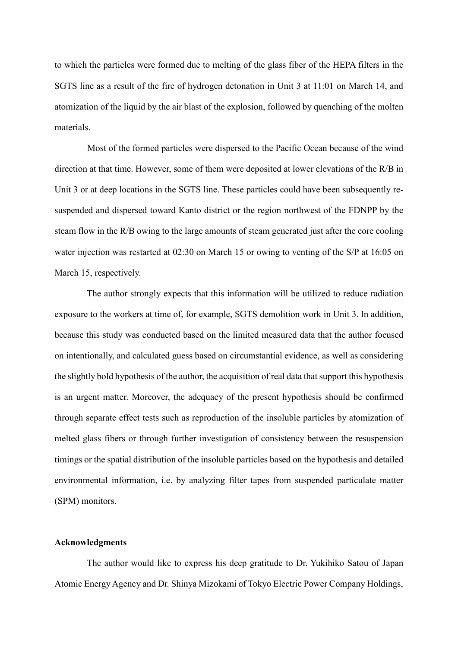to which the particles were formed due to melting of the glass fiber of the HEPA filters in the SGTS line as a result of the fire of hydrogen detonation in Unit 3 at 11:01 on March 14, and atomization of the liquid by the air blast of the explosion, followed by quenching of the molten materials.

Most of the formed particles were dispersed to the Pacific Ocean because of the wind direction at that time. However, some of them were deposited at lower elevations of the R/B in Unit 3 or at deep locations in the SGTS line. These particles could have been subsequently resuspended and dispersed toward Kanto district or the region northwest of the FDNPP by the steam flow in the R/B owing to the large amounts of steam generated just after the core cooling water injection was restarted at 02:30 on March 15 or owing to venting of the S/P at 16:05 on March 15, respectively.

The author strongly expects that this information will be utilized to reduce radiation exposure to the workers at time of, for example, SGTS demolition work in Unit 3. In addition, because this study was conducted based on the limited measured data that the author focused on intentionally, and calculated guess based on circumstantial evidence, as well as considering the slightly bold hypothesis of the author, the acquisition of real data that support this hypothesis is an urgent matter. Moreover, the adequacy of the present hypothesis should be confirmed through separate effect tests such as reproduction of the insoluble particles by atomization of melted glass fibers or through further investigation of consistency between the resuspension timings or the spatial distribution of the insoluble particles based on the hypothesis and detailed environmental information, i.e. by analyzing filter tapes from suspended particulate matter (SPM) monitors.

## **Acknowledgments**

The author would like to express his deep gratitude to Dr. Yukihiko Satou of Japan Atomic Energy Agency and Dr. Shinya Mizokami of Tokyo Electric Power Company Holdings,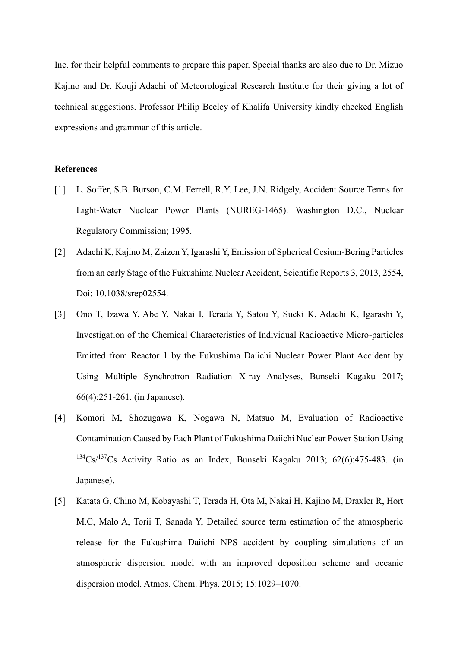Inc. for their helpful comments to prepare this paper. Special thanks are also due to Dr. Mizuo Kajino and Dr. Kouji Adachi of Meteorological Research Institute for their giving a lot of technical suggestions. Professor Philip Beeley of Khalifa University kindly checked English expressions and grammar of this article.

#### **References**

- [1] L. Soffer, S.B. Burson, C.M. Ferrell, R.Y. Lee, J.N. Ridgely, Accident Source Terms for Light-Water Nuclear Power Plants (NUREG-1465). Washington D.C., Nuclear Regulatory Commission; 1995.
- [2] Adachi K, Kajino M, Zaizen Y, Igarashi Y, Emission of Spherical Cesium-Bering Particles from an early Stage of the Fukushima Nuclear Accident, Scientific Reports 3, 2013, 2554, Doi: 10.1038/srep02554.
- [3] Ono T, Izawa Y, Abe Y, Nakai I, Terada Y, Satou Y, Sueki K, Adachi K, Igarashi Y, Investigation of the Chemical Characteristics of Individual Radioactive Micro-particles Emitted from Reactor 1 by the Fukushima Daiichi Nuclear Power Plant Accident by Using Multiple Synchrotron Radiation X-ray Analyses, Bunseki Kagaku 2017; 66(4):251-261. (in Japanese).
- [4] Komori M, Shozugawa K, Nogawa N, Matsuo M, Evaluation of Radioactive Contamination Caused by Each Plant of Fukushima Daiichi Nuclear Power Station Using <sup>134</sup>Cs/<sup>137</sup>Cs Activity Ratio as an Index, Bunseki Kagaku 2013; 62(6):475-483. (in Japanese).
- [5] Katata G, Chino M, Kobayashi T, Terada H, Ota M, Nakai H, Kajino M, Draxler R, Hort M.C, Malo A, Torii T, Sanada Y, Detailed source term estimation of the atmospheric release for the Fukushima Daiichi NPS accident by coupling simulations of an atmospheric dispersion model with an improved deposition scheme and oceanic dispersion model. Atmos. Chem. Phys. 2015; 15:1029–1070.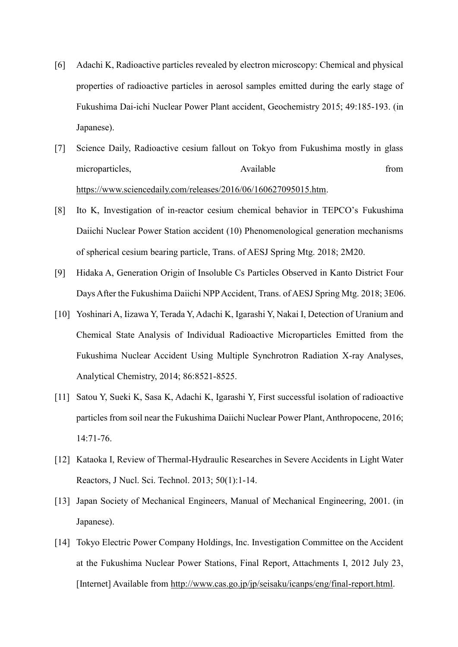- [6] Adachi K, Radioactive particles revealed by electron microscopy: Chemical and physical properties of radioactive particles in aerosol samples emitted during the early stage of Fukushima Dai-ichi Nuclear Power Plant accident, Geochemistry 2015; 49:185-193. (in Japanese).
- [7] Science Daily, Radioactive cesium fallout on Tokyo from Fukushima mostly in glass microparticles, and the example of the Available from the from the from the from the state of the Available from the from the from the state of the state of the state of the state of the state of the state of the state of [https://www.sciencedaily.com/releases/2016/06/160627095015.htm.](https://www.sciencedaily.com/releases/2016/06/160627095015.htm)
- [8] Ito K, Investigation of in-reactor cesium chemical behavior in TEPCO's Fukushima Daiichi Nuclear Power Station accident (10) Phenomenological generation mechanisms of spherical cesium bearing particle, Trans. of AESJ Spring Mtg. 2018; 2M20.
- [9] Hidaka A, Generation Origin of Insoluble Cs Particles Observed in Kanto District Four Days After the Fukushima Daiichi NPP Accident, Trans. of AESJ Spring Mtg. 2018; 3E06.
- [10] Yoshinari A, Iizawa Y, Terada Y, Adachi K, Igarashi Y, Nakai I, Detection of Uranium and Chemical State Analysis of Individual Radioactive Microparticles Emitted from the Fukushima Nuclear Accident Using Multiple Synchrotron Radiation X-ray Analyses, Analytical Chemistry, 2014; 86:8521-8525.
- [11] Satou Y, Sueki K, Sasa K, Adachi K, Igarashi Y, First successful isolation of radioactive particles from soil near the Fukushima Daiichi Nuclear Power Plant, Anthropocene, 2016; 14:71-76.
- [12] Kataoka I, Review of Thermal-Hydraulic Researches in Severe Accidents in Light Water Reactors, J Nucl. Sci. Technol. 2013; 50(1):1-14.
- [13] Japan Society of Mechanical Engineers, Manual of Mechanical Engineering, 2001. (in Japanese).
- [14] Tokyo Electric Power Company Holdings, Inc. Investigation Committee on the Accident at the Fukushima Nuclear Power Stations, Final Report, Attachments I, 2012 July 23, [Internet] Available from [http://www.cas.go.jp/jp/seisaku/icanps/eng/final-report.html.](http://www.cas.go.jp/jp/seisaku/icanps/eng/final-report.html)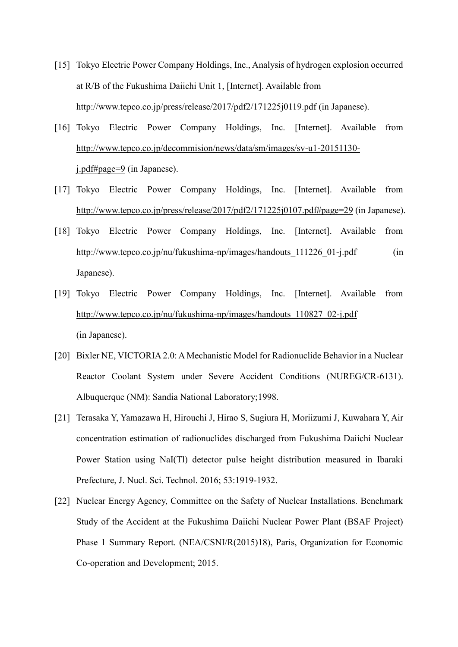- [15] Tokyo Electric Power Company Holdings, Inc., Analysis of hydrogen explosion occurred at R/B of the Fukushima Daiichi Unit 1, [Internet]. Available from http:/[/www.tepco.co.jp/press/release/2017/pdf2/171225j0119.pdf](http://www.tepco.co.jp/press/release/2017/pdf2/171225j0119.pdf) (in Japanese).
- [16] Tokyo Electric Power Company Holdings, Inc. [Internet]. Available from [http://www.tepco.co.jp/decommision/news/data/sm/images/sv-u1-20151130](http://www.tepco.co.jp/decommision/news/data/sm/images/sv-u1-20151130-j.pdf#page=9) [j.pdf#page=9](http://www.tepco.co.jp/decommision/news/data/sm/images/sv-u1-20151130-j.pdf#page=9) (in Japanese).
- [17] Tokyo Electric Power Company Holdings, Inc. [Internet]. Available from <http://www.tepco.co.jp/press/release/2017/pdf2/171225j0107.pdf#page=29> (in Japanese).
- [18] Tokyo Electric Power Company Holdings, Inc. [Internet]. Available from http://www.tepco.co.jp/nu/fukushima-np/images/handouts 111226 01-j.pdf (in Japanese).
- [19] Tokyo Electric Power Company Holdings, Inc. [Internet]. Available from [http://www.tepco.co.jp/nu/fukushima-np/images/handouts\\_110827\\_02-j.pdf](http://www.tepco.co.jp/nu/fukushima-np/images/handouts_110827_02-j.pdf) (in Japanese).
- [20] Bixler NE, VICTORIA 2.0: A Mechanistic Model for Radionuclide Behavior in a Nuclear Reactor Coolant System under Severe Accident Conditions (NUREG/CR-6131). Albuquerque (NM): Sandia National Laboratory;1998.
- [21] Terasaka Y, Yamazawa H, Hirouchi J, Hirao S, Sugiura H, Moriizumi J, Kuwahara Y, Air concentration estimation of radionuclides discharged from Fukushima Daiichi Nuclear Power Station using NaI(Tl) detector pulse height distribution measured in Ibaraki Prefecture, J. Nucl. Sci. Technol. 2016; 53:1919-1932.
- [22] Nuclear Energy Agency, Committee on the Safety of Nuclear Installations. Benchmark Study of the Accident at the Fukushima Daiichi Nuclear Power Plant (BSAF Project) Phase 1 Summary Report. (NEA/CSNI/R(2015)18), Paris, Organization for Economic Co-operation and Development; 2015.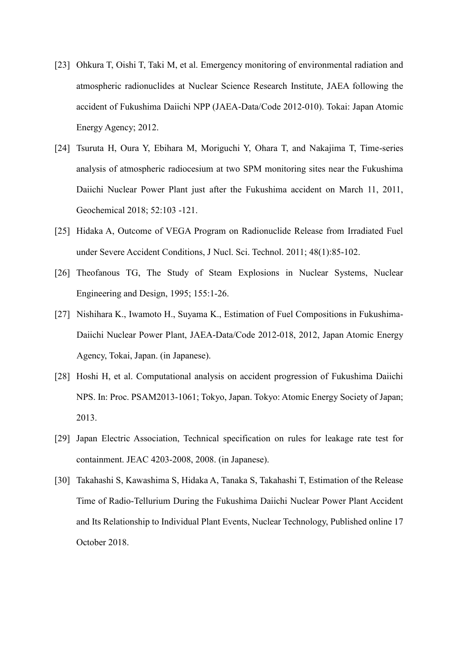- [23] Ohkura T, Oishi T, Taki M, et al. Emergency monitoring of environmental radiation and atmospheric radionuclides at Nuclear Science Research Institute, JAEA following the accident of Fukushima Daiichi NPP (JAEA-Data/Code 2012-010). Tokai: Japan Atomic Energy Agency; 2012.
- [24] Tsuruta H, Oura Y, Ebihara M, Moriguchi Y, Ohara T, and Nakajima T, Time-series analysis of atmospheric radiocesium at two SPM monitoring sites near the Fukushima Daiichi Nuclear Power Plant just after the Fukushima accident on March 11, 2011, Geochemical 2018; 52:103 -121.
- [25] Hidaka A, Outcome of VEGA Program on Radionuclide Release from Irradiated Fuel under Severe Accident Conditions, J Nucl. Sci. Technol. 2011; 48(1):85-102.
- [26] Theofanous TG, The Study of Steam Explosions in Nuclear Systems, Nuclear Engineering and Design, 1995; 155:1-26.
- [27] Nishihara K., Iwamoto H., Suyama K., Estimation of Fuel Compositions in Fukushima-Daiichi Nuclear Power Plant, JAEA-Data/Code 2012-018, 2012, Japan Atomic Energy Agency, Tokai, Japan. (in Japanese).
- [28] Hoshi H, et al. Computational analysis on accident progression of Fukushima Daiichi NPS. In: Proc. PSAM2013-1061; Tokyo, Japan. Tokyo: Atomic Energy Society of Japan; 2013.
- [29] Japan Electric Association, Technical specification on rules for leakage rate test for containment. JEAC 4203-2008, 2008. (in Japanese).
- [30] Takahashi S, Kawashima S, Hidaka A, Tanaka S, Takahashi T, Estimation of the Release Time of Radio-Tellurium During the Fukushima Daiichi Nuclear Power Plant Accident and Its Relationship to Individual Plant Events, Nuclear Technology, Published online 17 October 2018.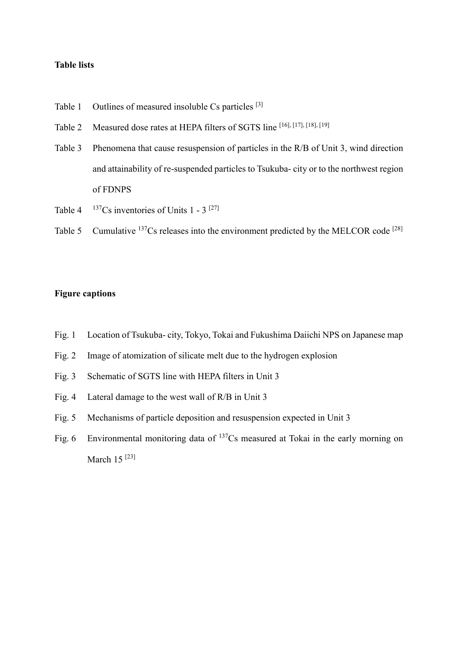## **Table lists**

- Table 1 Outlines of measured insoluble Cs particles <sup>[3]</sup>
- Table 2 Measured dose rates at HEPA filters of SGTS line [16], [17], [18], [19]
- Table 3 Phenomena that cause resuspension of particles in the R/B of Unit 3, wind direction and attainability of re-suspended particles to Tsukuba- city or to the northwest region of FDNPS
- Table 4  $137Cs$  inventories of Units 1 3  $[27]$
- Table 5 Cumulative <sup>137</sup>Cs releases into the environment predicted by the MELCOR code <sup>[28]</sup>

## **Figure captions**

- Fig. 1 Location of Tsukuba- city, Tokyo, Tokai and Fukushima Daiichi NPS on Japanese map
- Fig. 2 Image of atomization of silicate melt due to the hydrogen explosion
- Fig. 3 Schematic of SGTS line with HEPA filters in Unit 3
- Fig. 4 Lateral damage to the west wall of R/B in Unit 3
- Fig. 5 Mechanisms of particle deposition and resuspension expected in Unit 3
- Fig. 6 Environmental monitoring data of <sup>137</sup>Cs measured at Tokai in the early morning on March  $15^{[23]}$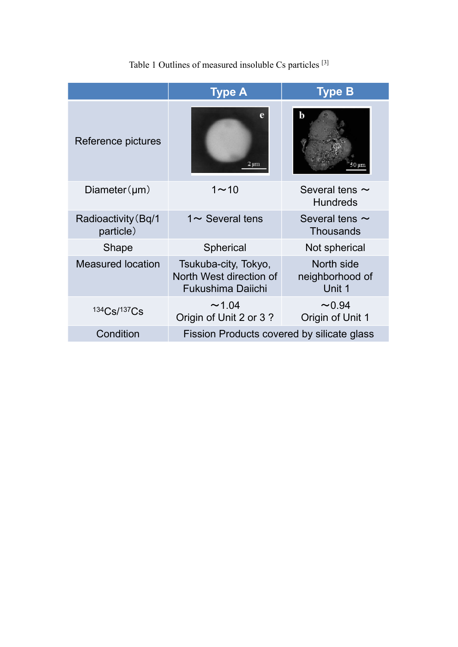|                                  | Type A                                                                      | <b>Type B</b>                           |
|----------------------------------|-----------------------------------------------------------------------------|-----------------------------------------|
| Reference pictures               | e<br>$2 \mu m$                                                              | b                                       |
| $Diameter(\mu m)$                | $1 - 10$                                                                    | Several tens $\sim$<br><b>Hundreds</b>  |
| Radioactivity (Bq/1<br>particle) | $1 \sim$ Several tens                                                       | Several tens $\sim$<br><b>Thousands</b> |
| <b>Shape</b>                     | <b>Spherical</b>                                                            | Not spherical                           |
| <b>Measured location</b>         | Tsukuba-city, Tokyo,<br>North West direction of<br><b>Fukushima Daiichi</b> | North side<br>neighborhood of<br>Unit 1 |
| 134Cs/137Cs                      | ~1.04<br>Origin of Unit 2 or 3?                                             | $\sim 0.94$<br>Origin of Unit 1         |
| Condition                        | Fission Products covered by silicate glass                                  |                                         |
|                                  |                                                                             |                                         |

Table 1 Outlines of measured insoluble Cs particles <sup>[3]</sup>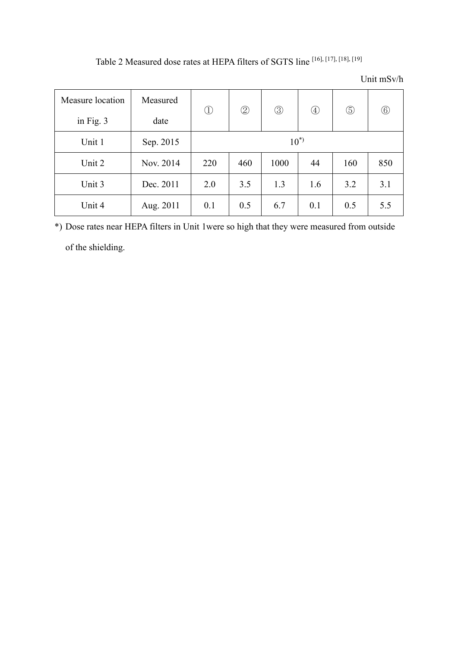| Measure location | Measured  | $\bigcirc$ | $^{\circledR}$ | ③    | $^{\small{\textcircled{\footnotesize{1}}}}$ | $\circledS$ | $\circled6$ |
|------------------|-----------|------------|----------------|------|---------------------------------------------|-------------|-------------|
| in Fig. 3        | date      |            |                |      |                                             |             |             |
| Unit 1           | Sep. 2015 | $10^{*}$   |                |      |                                             |             |             |
| Unit 2           | Nov. 2014 | 220        | 460            | 1000 | 44                                          | 160         | 850         |
| Unit 3           | Dec. 2011 | 2.0        | 3.5            | 1.3  | 1.6                                         | 3.2         | 3.1         |
| Unit 4           | Aug. 2011 | 0.1        | 0.5            | 6.7  | 0.1                                         | 0.5         | 5.5         |

Table 2 Measured dose rates at HEPA filters of SGTS line [16], [17], [18], [19]

\*) Dose rates near HEPA filters in Unit 1were so high that they were measured from outside of the shielding.

## Unit mSv/h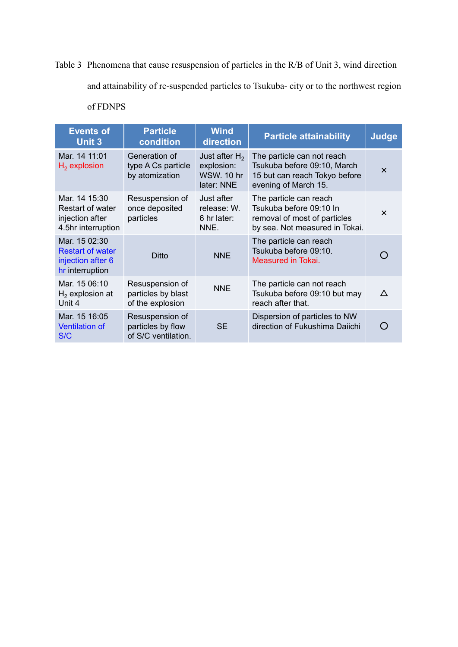Table 3 Phenomena that cause resuspension of particles in the R/B of Unit 3, wind direction and attainability of re-suspended particles to Tsukuba- city or to the northwest region of FDNPS

| <b>Events of</b><br><b>Unit 3</b>                                                | <b>Particle</b><br>condition                                | <b>Wind</b><br>direction                                          | <b>Particle attainability</b>                                                                                       | <b>Judge</b>          |
|----------------------------------------------------------------------------------|-------------------------------------------------------------|-------------------------------------------------------------------|---------------------------------------------------------------------------------------------------------------------|-----------------------|
| Mar. 14 11:01<br>$H_2$ explosion                                                 | Generation of<br>type A Cs particle<br>by atomization       | Just after $H_2$<br>explosion:<br><b>WSW. 10 hr</b><br>later: NNE | The particle can not reach<br>Tsukuba before 09:10, March<br>15 but can reach Tokyo before<br>evening of March 15.  | $\boldsymbol{\times}$ |
| Mar. 14 15:30<br>Restart of water<br>injection after<br>4.5hr interruption       | Resuspension of<br>once deposited<br>particles              | Just after<br>release: W.<br>6 hr later:<br>NNE.                  | The particle can reach<br>Tsukuba before 09:10 In<br>removal of most of particles<br>by sea. Not measured in Tokai. | $\times$              |
| Mar. 15 02:30<br><b>Restart of water</b><br>injection after 6<br>hr interruption | Ditto                                                       | <b>NNE</b>                                                        | The particle can reach<br>Tsukuba before 09:10.<br>Measured in Tokai.                                               |                       |
| Mar. 15 06:10<br>$H2$ explosion at<br>Unit 4                                     | Resuspension of<br>particles by blast<br>of the explosion   | <b>NNE</b>                                                        | The particle can not reach<br>Tsukuba before 09:10 but may<br>reach after that.                                     | ∧                     |
| Mar. 15 16:05<br><b>Ventilation of</b><br>S/C                                    | Resuspension of<br>particles by flow<br>of S/C ventilation. | <b>SE</b>                                                         | Dispersion of particles to NW<br>direction of Fukushima Daiichi                                                     |                       |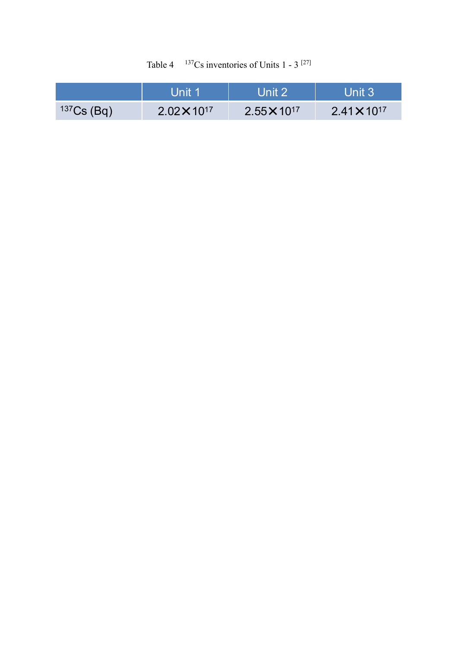| Table 4 | $137$ Cs inventories of Units 1 - 3 <sup>[27]</sup> |  |  |  |  |
|---------|-----------------------------------------------------|--|--|--|--|
|---------|-----------------------------------------------------|--|--|--|--|

|              | l Jnit 1              | ll Init 2\            | Unit 3                |
|--------------|-----------------------|-----------------------|-----------------------|
| $137Cs$ (Bq) | $2.02 \times 10^{17}$ | $2.55 \times 10^{17}$ | $2.41 \times 10^{17}$ |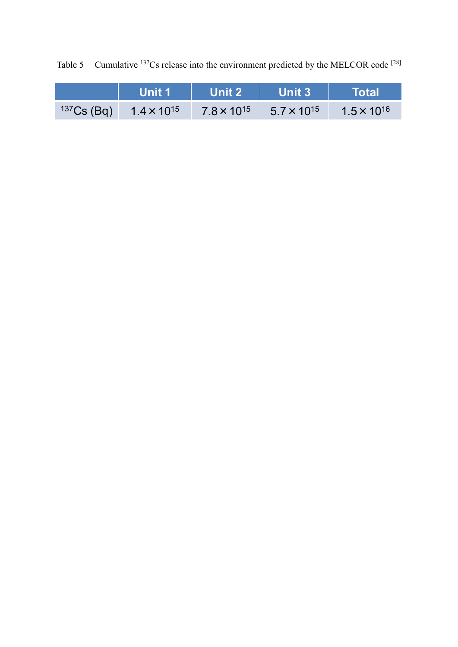Table 5 Cumulative  $137Cs$  release into the environment predicted by the MELCOR code  $[28]$ 

|              | Unit 1               | Unit 2               | <b>Unit 3</b>        | <b>\Total\</b>       |
|--------------|----------------------|----------------------|----------------------|----------------------|
| $137Cs$ (Bq) | $1.4 \times 10^{15}$ | $7.8 \times 10^{15}$ | $5.7 \times 10^{15}$ | $1.5 \times 10^{16}$ |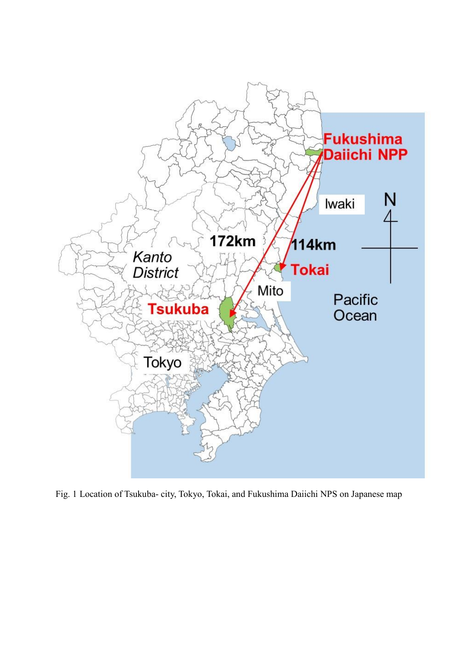

Fig. 1 Location of Tsukuba- city, Tokyo, Tokai, and Fukushima Daiichi NPS on Japanese map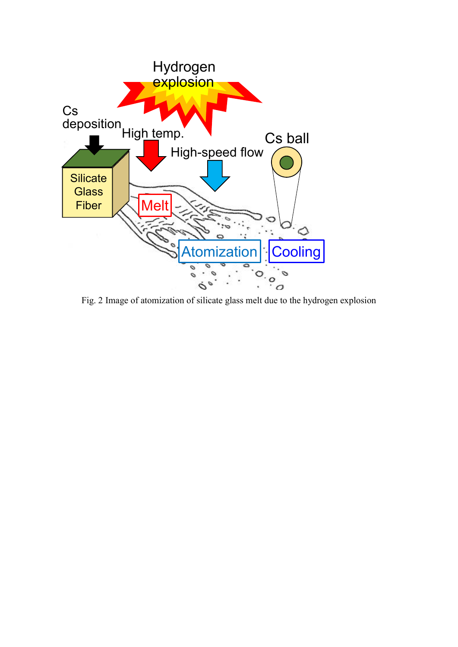

Fig. 2 Image of atomization of silicate glass melt due to the hydrogen explosion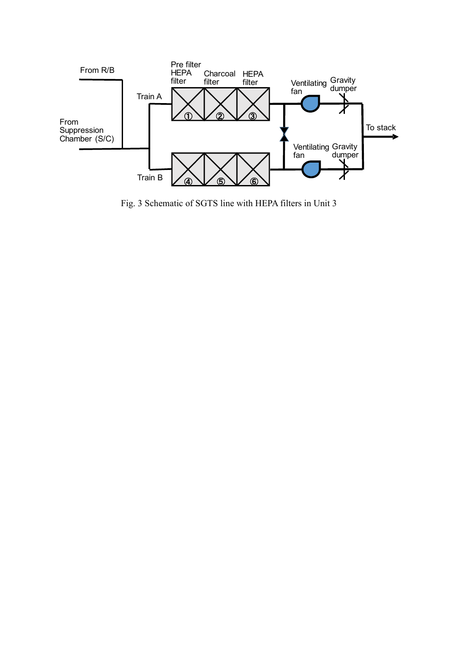

Fig. 3 Schematic of SGTS line with HEPA filters in Unit 3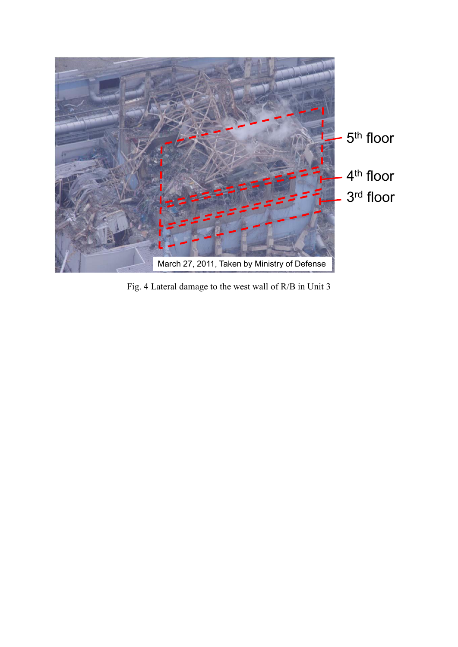

Fig. 4 Lateral damage to the west wall of R/B in Unit 3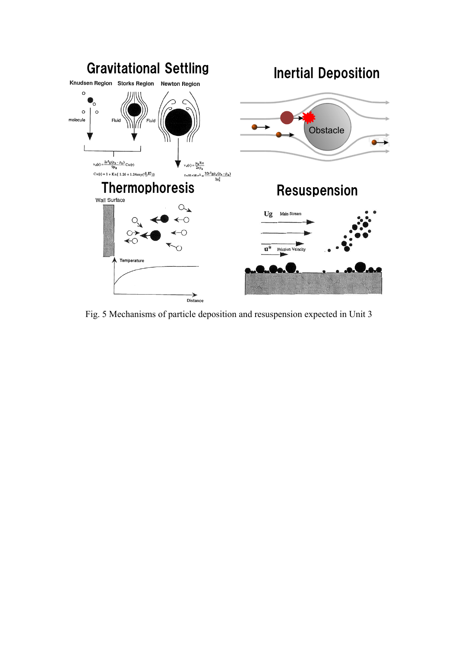

Fig. 5 Mechanisms of particle deposition and resuspension expected in Unit 3